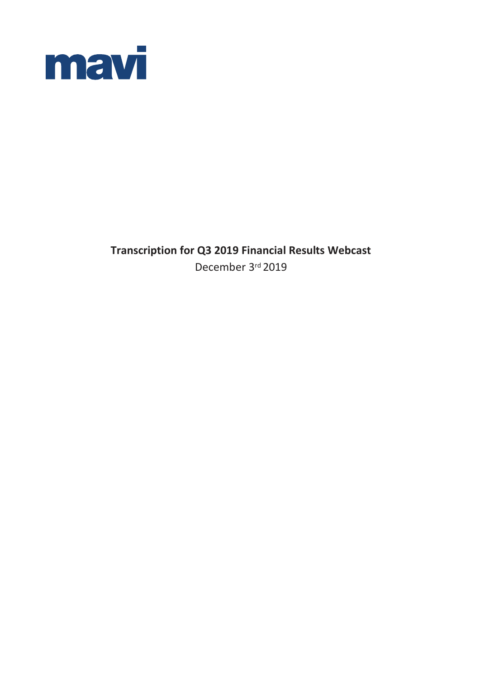

**Transcription for Q3 2019 Financial Results Webcast** December 3rd 2019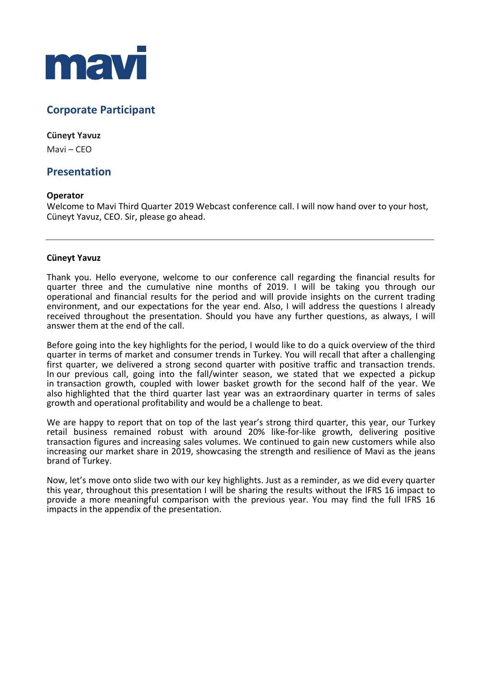

# **Corporate Participant**

# **Cüneyt Yavuz**

Mavi – CEO

# **Presentation**

# **Operator**

Welcome to Mavi Third Quarter 2019 Webcast conference call. I will now hand over to your host, Cüneyt Yavuz, CEO. Sir, please go ahead.

# **Cüneyt Yavuz**

Thank you. Hello everyone, welcome to our conference call regarding the financial results for quarter three and the cumulative nine months of 2019. I will be taking you through our operational and financial results for the period and will provide insights on the current trading environment, and our expectations for the year end. Also, I will address the questions I already received throughout the presentation. Should you have any further questions, as always, I will answer them at the end of the call.

Before going into the key highlights for the period, I would like to do a quick overview of the third quarter in terms of market and consumer trends in Turkey. You will recall that after a challenging first quarter, we delivered a strong second quarter with positive traffic and transaction trends. In our previous call, going into the fall/winter season, we stated that we expected a pickup in transaction growth, coupled with lower basket growth for the second half of the year. We also highlighted that the third quarter last year was an extraordinary quarter in terms of sales growth and operational profitability and would be a challenge to beat.

We are happy to report that on top of the last year's strong third quarter, this year, our Turkey retail business remained robust with around 20% like-for-like growth, delivering positive transaction figures and increasing sales volumes. We continued to gain new customers while also increasing our market share in 2019, showcasing the strength and resilience of Mavi as the jeans brand of Turkey.

Now, let's move onto slide two with our key highlights. Just as a reminder, as we did every quarter this year, throughout this presentation I will be sharing the results without the IFRS 16 impact to provide a more meaningful comparison with the previous year. You may find the full IFRS 16 impacts in the appendix of the presentation.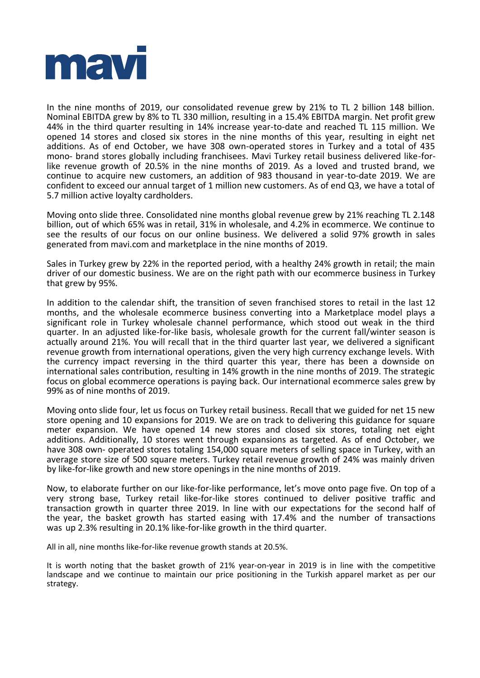

In the nine months of 2019, our consolidated revenue grew by 21% to TL 2 billion 148 billion. Nominal EBITDA grew by 8% to TL 330 million, resulting in a 15.4% EBITDA margin. Net profit grew 44% in the third quarter resulting in 14% increase year-to-date and reached TL 115 million. We opened 14 stores and closed six stores in the nine months of this year, resulting in eight net additions. As of end October, we have 308 own-operated stores in Turkey and a total of 435 mono- brand stores globally including franchisees. Mavi Turkey retail business delivered like-forlike revenue growth of 20.5% in the nine months of 2019. As a loved and trusted brand, we continue to acquire new customers, an addition of 983 thousand in year-to-date 2019. We are confident to exceed our annual target of 1 million new customers. As of end Q3, we have a total of 5.7 million active loyalty cardholders.

Moving onto slide three. Consolidated nine months global revenue grew by 21% reaching TL 2.148 billion, out of which 65% was in retail, 31% in wholesale, and 4.2% in ecommerce. We continue to see the results of our focus on our online business. We delivered a solid 97% growth in sales generated from mavi.com and marketplace in the nine months of 2019.

Sales in Turkey grew by 22% in the reported period, with a healthy 24% growth in retail; the main driver of our domestic business. We are on the right path with our ecommerce business in Turkey that grew by 95%.

In addition to the calendar shift, the transition of seven franchised stores to retail in the last 12 months, and the wholesale ecommerce business converting into a Marketplace model plays a significant role in Turkey wholesale channel performance, which stood out weak in the third quarter. In an adjusted like-for-like basis, wholesale growth for the current fall/winter season is actually around 21%. You will recall that in the third quarter last year, we delivered a significant revenue growth from international operations, given the very high currency exchange levels. With the currency impact reversing in the third quarter this year, there has been a downside on international sales contribution, resulting in 14% growth in the nine months of 2019. The strategic focus on global ecommerce operations is paying back. Our international ecommerce sales grew by 99% as of nine months of 2019.

Moving onto slide four, let us focus on Turkey retail business. Recall that we guided for net 15 new store opening and 10 expansions for 2019. We are on track to delivering this guidance for square meter expansion. We have opened 14 new stores and closed six stores, totaling net eight additions. Additionally, 10 stores went through expansions as targeted. As of end October, we have 308 own- operated stores totaling 154,000 square meters of selling space in Turkey, with an average store size of 500 square meters. Turkey retail revenue growth of 24% was mainly driven by like-for-like growth and new store openings in the nine months of 2019.

Now, to elaborate further on our like-for-like performance, let's move onto page five. On top of a very strong base, Turkey retail like-for-like stores continued to deliver positive traffic and transaction growth in quarter three 2019. In line with our expectations for the second half of the year, the basket growth has started easing with 17.4% and the number of transactions was up 2.3% resulting in 20.1% like-for-like growth in the third quarter.

All in all, nine months like-for-like revenue growth stands at 20.5%.

It is worth noting that the basket growth of 21% year-on-year in 2019 is in line with the competitive landscape and we continue to maintain our price positioning in the Turkish apparel market as per our strategy.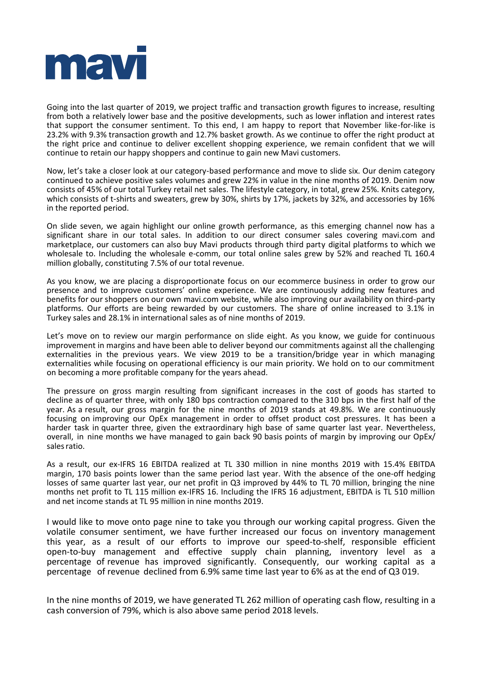

Going into the last quarter of 2019, we project traffic and transaction growth figures to increase, resulting from both a relatively lower base and the positive developments, such as lower inflation and interest rates that support the consumer sentiment. To this end, I am happy to report that November like-for-like is 23.2% with 9.3% transaction growth and 12.7% basket growth. As we continue to offer the right product at the right price and continue to deliver excellent shopping experience, we remain confident that we will continue to retain our happy shoppers and continue to gain new Mavi customers.

Now, let's take a closer look at our category-based performance and move to slide six. Our denim category continued to achieve positive sales volumes and grew 22% in value in the nine months of 2019. Denim now consists of 45% of our total Turkey retail net sales. The lifestyle category, in total, grew 25%. Knits category, which consists of t-shirts and sweaters, grew by 30%, shirts by 17%, jackets by 32%, and accessories by 16% in the reported period.

On slide seven, we again highlight our online growth performance, as this emerging channel now has a significant share in our total sales. In addition to our direct consumer sales covering mavi.com and marketplace, our customers can also buy Mavi products through third party digital platforms to which we wholesale to. Including the wholesale e-comm, our total online sales grew by 52% and reached TL 160.4 million globally, constituting 7.5% of our total revenue.

As you know, we are placing a disproportionate focus on our ecommerce business in order to grow our presence and to improve customers' online experience. We are continuously adding new features and benefits for our shoppers on our own mavi.com website, while also improving our availability on third-party platforms. Our efforts are being rewarded by our customers. The share of online increased to 3.1% in Turkey sales and 28.1% in international sales as of nine months of 2019.

Let's move on to review our margin performance on slide eight. As you know, we guide for continuous improvement in margins and have been able to deliver beyond our commitments against all the challenging externalities in the previous years. We view 2019 to be a transition/bridge year in which managing externalities while focusing on operational efficiency is our main priority. We hold on to our commitment on becoming a more profitable company for the years ahead.

The pressure on gross margin resulting from significant increases in the cost of goods has started to decline as of quarter three, with only 180 bps contraction compared to the 310 bps in the first half of the year. As a result, our gross margin for the nine months of 2019 stands at 49.8%. We are continuously focusing on improving our OpEx management in order to offset product cost pressures. It has been a harder task in quarter three, given the extraordinary high base of same quarter last year. Nevertheless, overall, in nine months we have managed to gain back 90 basis points of margin by improving our OpEx/ sales ratio.

As a result, our ex-IFRS 16 EBITDA realized at TL 330 million in nine months 2019 with 15.4% EBITDA margin, 170 basis points lower than the same period last year. With the absence of the one-off hedging losses of same quarter last year, our net profit in Q3 improved by 44% to TL 70 million, bringing the nine months net profit to TL 115 million ex-IFRS 16. Including the IFRS 16 adjustment, EBITDA is TL 510 million and net income stands at TL 95 million in nine months 2019.

I would like to move onto page nine to take you through our working capital progress. Given the volatile consumer sentiment, we have further increased our focus on inventory management this year, as a result of our efforts to improve our speed-to-shelf, responsible efficient open-to-buy management and effective supply chain planning, inventory level as a percentage of revenue has improved significantly. Consequently, our working capital as a percentage of revenue declined from 6.9% same time last year to 6% as at the end of Q3 019.

In the nine months of 2019, we have generated TL 262 million of operating cash flow, resulting in a cash conversion of 79%, which is also above same period 2018 levels.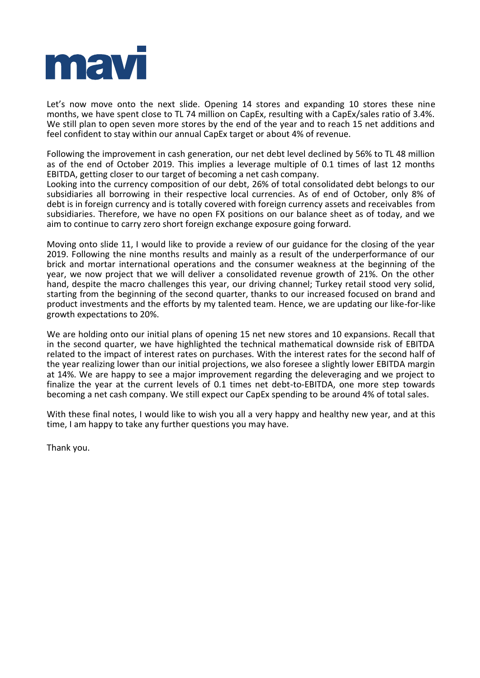

Let's now move onto the next slide. Opening 14 stores and expanding 10 stores these nine months, we have spent close to TL 74 million on CapEx, resulting with a CapEx/sales ratio of 3.4%. We still plan to open seven more stores by the end of the year and to reach 15 net additions and feel confident to stay within our annual CapEx target or about 4% of revenue.

Following the improvement in cash generation, our net debt level declined by 56% to TL 48 million as of the end of October 2019. This implies a leverage multiple of 0.1 times of last 12 months EBITDA, getting closer to our target of becoming a net cash company.

Looking into the currency composition of our debt, 26% of total consolidated debt belongs to our subsidiaries all borrowing in their respective local currencies. As of end of October, only 8% of debt is in foreign currency and is totally covered with foreign currency assets and receivables from subsidiaries. Therefore, we have no open FX positions on our balance sheet as of today, and we aim to continue to carry zero short foreign exchange exposure going forward.

Moving onto slide 11, I would like to provide a review of our guidance for the closing of the year 2019. Following the nine months results and mainly as a result of the underperformance of our brick and mortar international operations and the consumer weakness at the beginning of the year, we now project that we will deliver a consolidated revenue growth of 21%. On the other hand, despite the macro challenges this year, our driving channel; Turkey retail stood very solid, starting from the beginning of the second quarter, thanks to our increased focused on brand and product investments and the efforts by my talented team. Hence, we are updating our like-for-like growth expectations to 20%.

We are holding onto our initial plans of opening 15 net new stores and 10 expansions. Recall that in the second quarter, we have highlighted the technical mathematical downside risk of EBITDA related to the impact of interest rates on purchases. With the interest rates for the second half of the year realizing lower than our initial projections, we also foresee a slightly lower EBITDA margin at 14%. We are happy to see a major improvement regarding the deleveraging and we project to finalize the year at the current levels of 0.1 times net debt-to-EBITDA, one more step towards becoming a net cash company. We still expect our CapEx spending to be around 4% of total sales.

With these final notes, I would like to wish you all a very happy and healthy new year, and at this time, I am happy to take any further questions you may have.

Thank you.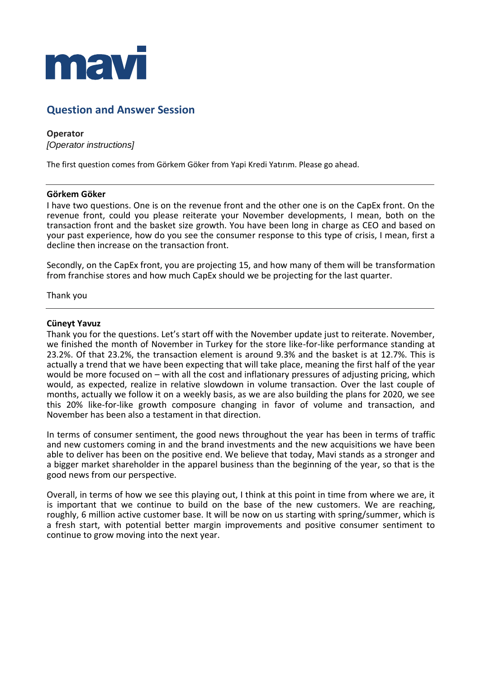

# **Question and Answer Session**

# **Operator** *[Operator instructions]*

The first question comes from Görkem Göker from Yapi Kredi Yatırım. Please go ahead.

## **Görkem Göker**

I have two questions. One is on the revenue front and the other one is on the CapEx front. On the revenue front, could you please reiterate your November developments, I mean, both on the transaction front and the basket size growth. You have been long in charge as CEO and based on your past experience, how do you see the consumer response to this type of crisis, I mean, first a decline then increase on the transaction front.

Secondly, on the CapEx front, you are projecting 15, and how many of them will be transformation from franchise stores and how much CapEx should we be projecting for the last quarter.

Thank you

## **Cüneyt Yavuz**

Thank you for the questions. Let's start off with the November update just to reiterate. November, we finished the month of November in Turkey for the store like-for-like performance standing at 23.2%. Of that 23.2%, the transaction element is around 9.3% and the basket is at 12.7%. This is actually a trend that we have been expecting that will take place, meaning the first half of the year would be more focused on – with all the cost and inflationary pressures of adjusting pricing, which would, as expected, realize in relative slowdown in volume transaction. Over the last couple of months, actually we follow it on a weekly basis, as we are also building the plans for 2020, we see this 20% like-for-like growth composure changing in favor of volume and transaction, and November has been also a testament in that direction.

In terms of consumer sentiment, the good news throughout the year has been in terms of traffic and new customers coming in and the brand investments and the new acquisitions we have been able to deliver has been on the positive end. We believe that today, Mavi stands as a stronger and a bigger market shareholder in the apparel business than the beginning of the year, so that is the good news from our perspective.

Overall, in terms of how we see this playing out, I think at this point in time from where we are, it is important that we continue to build on the base of the new customers. We are reaching, roughly, 6 million active customer base. It will be now on us starting with spring/summer, which is a fresh start, with potential better margin improvements and positive consumer sentiment to continue to grow moving into the next year.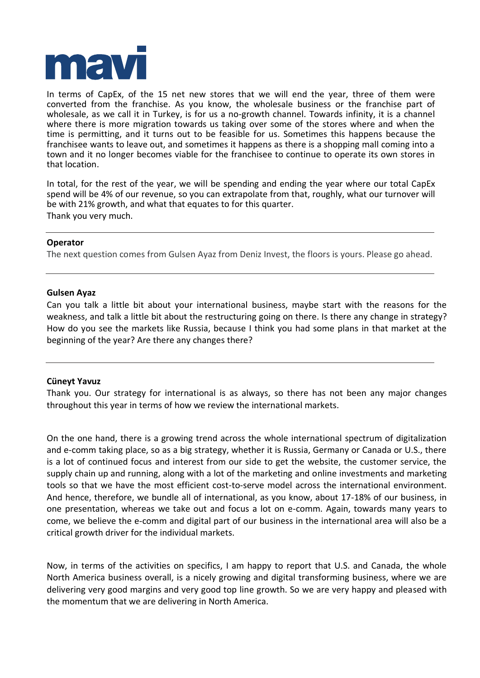

In terms of CapEx, of the 15 net new stores that we will end the year, three of them were converted from the franchise. As you know, the wholesale business or the franchise part of wholesale, as we call it in Turkey, is for us a no-growth channel. Towards infinity, it is a channel where there is more migration towards us taking over some of the stores where and when the time is permitting, and it turns out to be feasible for us. Sometimes this happens because the franchisee wants to leave out, and sometimes it happens as there is a shopping mall coming into a town and it no longer becomes viable for the franchisee to continue to operate its own stores in that location.

In total, for the rest of the year, we will be spending and ending the year where our total CapEx spend will be 4% of our revenue, so you can extrapolate from that, roughly, what our turnover will be with 21% growth, and what that equates to for this quarter. Thank you very much.

# **Operator**

The next question comes from Gulsen Ayaz from Deniz Invest, the floors is yours. Please go ahead.

## **Gulsen Ayaz**

Can you talk a little bit about your international business, maybe start with the reasons for the weakness, and talk a little bit about the restructuring going on there. Is there any change in strategy? How do you see the markets like Russia, because I think you had some plans in that market at the beginning of the year? Are there any changes there?

## **Cüneyt Yavuz**

Thank you. Our strategy for international is as always, so there has not been any major changes throughout this year in terms of how we review the international markets.

On the one hand, there is a growing trend across the whole international spectrum of digitalization and e-comm taking place, so as a big strategy, whether it is Russia, Germany or Canada or U.S., there is a lot of continued focus and interest from our side to get the website, the customer service, the supply chain up and running, along with a lot of the marketing and online investments and marketing tools so that we have the most efficient cost-to-serve model across the international environment. And hence, therefore, we bundle all of international, as you know, about 17-18% of our business, in one presentation, whereas we take out and focus a lot on e-comm. Again, towards many years to come, we believe the e-comm and digital part of our business in the international area will also be a critical growth driver for the individual markets.

Now, in terms of the activities on specifics, I am happy to report that U.S. and Canada, the whole North America business overall, is a nicely growing and digital transforming business, where we are delivering very good margins and very good top line growth. So we are very happy and pleased with the momentum that we are delivering in North America.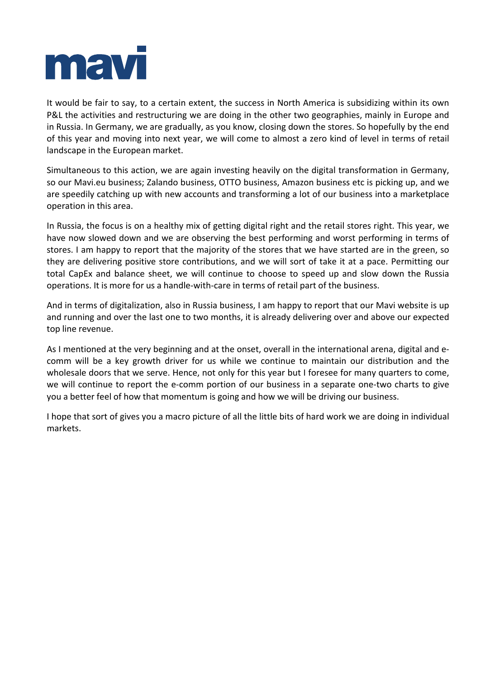

It would be fair to say, to a certain extent, the success in North America is subsidizing within its own P&L the activities and restructuring we are doing in the other two geographies, mainly in Europe and in Russia. In Germany, we are gradually, as you know, closing down the stores. So hopefully by the end of this year and moving into next year, we will come to almost a zero kind of level in terms of retail landscape in the European market.

Simultaneous to this action, we are again investing heavily on the digital transformation in Germany, so our Mavi.eu business; Zalando business, OTTO business, Amazon business etc is picking up, and we are speedily catching up with new accounts and transforming a lot of our business into a marketplace operation in this area.

In Russia, the focus is on a healthy mix of getting digital right and the retail stores right. This year, we have now slowed down and we are observing the best performing and worst performing in terms of stores. I am happy to report that the majority of the stores that we have started are in the green, so they are delivering positive store contributions, and we will sort of take it at a pace. Permitting our total CapEx and balance sheet, we will continue to choose to speed up and slow down the Russia operations. It is more for us a handle-with-care in terms of retail part of the business.

And in terms of digitalization, also in Russia business, I am happy to report that our Mavi website is up and running and over the last one to two months, it is already delivering over and above our expected top line revenue.

As I mentioned at the very beginning and at the onset, overall in the international arena, digital and ecomm will be a key growth driver for us while we continue to maintain our distribution and the wholesale doors that we serve. Hence, not only for this year but I foresee for many quarters to come, we will continue to report the e-comm portion of our business in a separate one-two charts to give you a better feel of how that momentum is going and how we will be driving our business.

I hope that sort of gives you a macro picture of all the little bits of hard work we are doing in individual markets.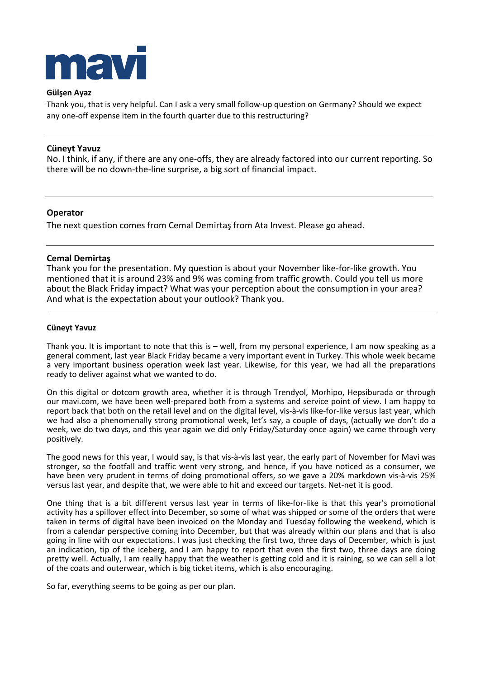

## **Gülşen Ayaz**

Thank you, that is very helpful. Can I ask a very small follow-up question on Germany? Should we expect any one-off expense item in the fourth quarter due to this restructuring?

## **Cüneyt Yavuz**

No. I think, if any, if there are any one-offs, they are already factored into our current reporting. So there will be no down-the-line surprise, a big sort of financial impact.

## **Operator**

The next question comes from Cemal Demirtaş from Ata Invest. Please go ahead.

## **Cemal Demirtaş**

Thank you for the presentation. My question is about your November like-for-like growth. You mentioned that it is around 23% and 9% was coming from traffic growth. Could you tell us more about the Black Friday impact? What was your perception about the consumption in your area? And what is the expectation about your outlook? Thank you.

#### **Cüneyt Yavuz**

Thank you. It is important to note that this is – well, from my personal experience, I am now speaking as a general comment, last year Black Friday became a very important event in Turkey. This whole week became a very important business operation week last year. Likewise, for this year, we had all the preparations ready to deliver against what we wanted to do.

On this digital or dotcom growth area, whether it is through Trendyol, Morhipo, Hepsiburada or through our mavi.com, we have been well-prepared both from a systems and service point of view. I am happy to report back that both on the retail level and on the digital level, vis-à-vis like-for-like versus last year, which we had also a phenomenally strong promotional week, let's say, a couple of days, (actually we don't do a week, we do two days, and this year again we did only Friday/Saturday once again) we came through very positively.

The good news for this year, I would say, is that vis-à-vis last year, the early part of November for Mavi was stronger, so the footfall and traffic went very strong, and hence, if you have noticed as a consumer, we have been very prudent in terms of doing promotional offers, so we gave a 20% markdown vis-à-vis 25% versus last year, and despite that, we were able to hit and exceed our targets. Net-net it is good.

One thing that is a bit different versus last year in terms of like-for-like is that this year's promotional activity has a spillover effect into December, so some of what was shipped or some of the orders that were taken in terms of digital have been invoiced on the Monday and Tuesday following the weekend, which is from a calendar perspective coming into December, but that was already within our plans and that is also going in line with our expectations. I was just checking the first two, three days of December, which is just an indication, tip of the iceberg, and I am happy to report that even the first two, three days are doing pretty well. Actually, I am really happy that the weather is getting cold and it is raining, so we can sell a lot of the coats and outerwear, which is big ticket items, which is also encouraging.

So far, everything seems to be going as per our plan.